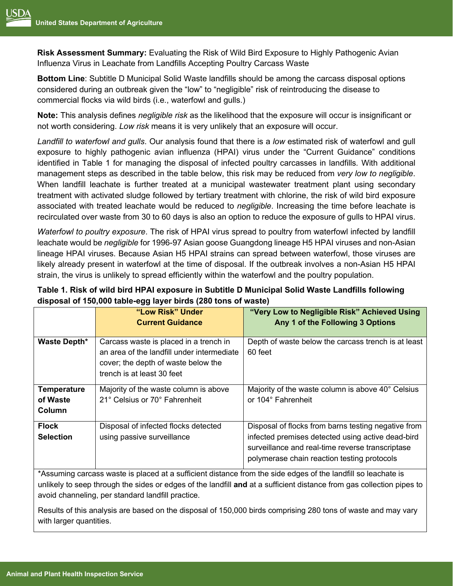**Risk Assessment Summary:** Evaluating the Risk of Wild Bird Exposure to Highly Pathogenic Avian Influenza Virus in Leachate from Landfills Accepting Poultry Carcass Waste

**Bottom Line**: Subtitle D Municipal Solid Waste landfills should be among the carcass disposal options considered during an outbreak given the "low" to "negligible" risk of reintroducing the disease to commercial flocks via wild birds (i.e., waterfowl and gulls.)

**Note:** This analysis defines *negligible risk* as the likelihood that the exposure will occur is insignificant or not worth considering. *Low risk* means it is very unlikely that an exposure will occur.

*Landfill to waterfowl and gulls*. Our analysis found that there is a *low* estimated risk of waterfowl and gull exposure to highly pathogenic avian influenza (HPAI) virus under the "Current Guidance" conditions identified in Table 1 for managing the disposal of infected poultry carcasses in landfills*.* With additional management steps as described in the table below, this risk may be reduced from *very low to negligible*. When landfill leachate is further treated at a municipal wastewater treatment plant using secondary treatment with activated sludge followed by tertiary treatment with chlorine, the risk of wild bird exposure associated with treated leachate would be reduced to *negligible*. Increasing the time before leachate is recirculated over waste from 30 to 60 days is also an option to reduce the exposure of gulls to HPAI virus.

*Waterfowl to poultry exposure*. The risk of HPAI virus spread to poultry from waterfowl infected by landfill leachate would be *negligible* for 1996-97 Asian goose Guangdong lineage H5 HPAI viruses and non-Asian lineage HPAI viruses. Because Asian H5 HPAI strains can spread between waterfowl, those viruses are likely already present in waterfowl at the time of disposal. If the outbreak involves a non-Asian H5 HPAI strain, the virus is unlikely to spread efficiently within the waterfowl and the poultry population.

|                                                 | "Low Risk" Under<br><b>Current Guidance</b>                                                                                                               | "Very Low to Negligible Risk" Achieved Using<br>Any 1 of the Following 3 Options                                                                                                                            |
|-------------------------------------------------|-----------------------------------------------------------------------------------------------------------------------------------------------------------|-------------------------------------------------------------------------------------------------------------------------------------------------------------------------------------------------------------|
| Waste Depth*                                    | Carcass waste is placed in a trench in<br>an area of the landfill under intermediate<br>cover; the depth of waste below the<br>trench is at least 30 feet | Depth of waste below the carcass trench is at least<br>60 feet                                                                                                                                              |
| <b>Temperature</b><br>of Waste<br><b>Column</b> | Majority of the waste column is above<br>21° Celsius or 70° Fahrenheit                                                                                    | Majority of the waste column is above 40° Celsius<br>or 104° Fahrenheit                                                                                                                                     |
| <b>Flock</b><br><b>Selection</b>                | Disposal of infected flocks detected<br>using passive surveillance                                                                                        | Disposal of flocks from barns testing negative from<br>infected premises detected using active dead-bird<br>surveillance and real-time reverse transcriptase<br>polymerase chain reaction testing protocols |

## **Table 1. Risk of wild bird HPAI exposure in Subtitle D Municipal Solid Waste Landfills following disposal of 150,000 table-egg layer birds (280 tons of waste)**

\*Assuming carcass waste is placed at a sufficient distance from the side edges of the landfill so leachate is unlikely to seep through the sides or edges of the landfill **and** at a sufficient distance from gas collection pipes to avoid channeling, per standard landfill practice.

Results of this analysis are based on the disposal of 150,000 birds comprising 280 tons of waste and may vary with larger quantities.